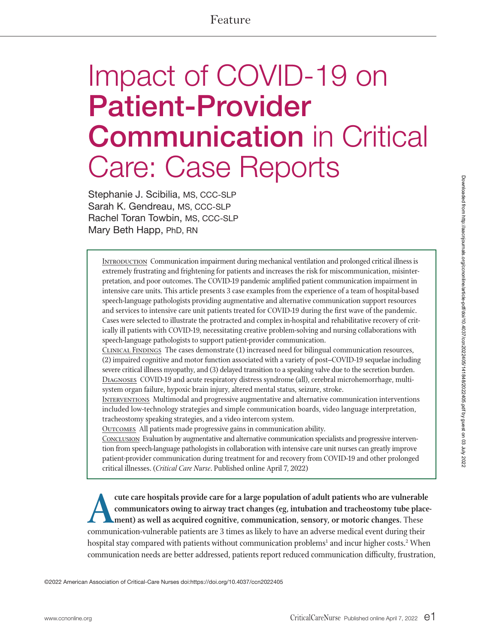# Impact of COVID-19 on Patient-Provider **Communication** in Critical Care: Case Reports

Stephanie J. Scibilia, MS, CCC-SLP Sarah K. Gendreau, MS, CCC-SLP Rachel Toran Towbin, MS, CCC-SLP Mary Beth Happ, PhD, RN

INTRODUCTION Communication impairment during mechanical ventilation and prolonged critical illness is extremely frustrating and frightening for patients and increases the risk for miscommunication, misinterpretation, and poor outcomes. The COVID-19 pandemic amplified patient communication impairment in intensive care units. This article presents 3 case examples from the experience of a team of hospital-based speech-language pathologists providing augmentative and alternative communication support resources and services to intensive care unit patients treated for COVID-19 during the first wave of the pandemic. Cases were selected to illustrate the protracted and complex in-hospital and rehabilitative recovery of critically ill patients with COVID-19, necessitating creative problem-solving and nursing collaborations with speech-language pathologists to support patient-provider communication.

Clinical Findings The cases demonstrate (1) increased need for bilingual communication resources, (2) impaired cognitive and motor function associated with a variety of post–COVID-19 sequelae including severe critical illness myopathy, and (3) delayed transition to a speaking valve due to the secretion burden. Diagnoses COVID-19 and acute respiratory distress syndrome (all), cerebral microhemorrhage, multisystem organ failure, hypoxic brain injury, altered mental status, seizure, stroke.

**INTERVENTIONS** Multimodal and progressive augmentative and alternative communication interventions included low-technology strategies and simple communication boards, video language interpretation, tracheostomy speaking strategies, and a video intercom system.

OUTCOMES All patients made progressive gains in communication ability.

Conclusion Evaluation by augmentative and alternative communication specialists and progressive intervention from speech-language pathologists in collaboration with intensive care unit nurses can greatly improve patient-provider communication during treatment for and recovery from COVID-19 and other prolonged critical illnesses. (*Critical Care Nurse*. Published online April 7, 2022)

cute care hospitals provide care for a large population of adult patients who are vulnerable<br>
communicators owing to airway tract changes (eg, intubation and tracheostomy tube place<br>
ment) as well as acquired cognitive, co **communicators owing to airway tract changes (eg, intubation and tracheostomy tube placement) as well as acquired cognitive, communication, sensory, or motoric changes.** These communication-vulnerable patients are 3 times as likely to have an adverse medical event during their hospital stay compared with patients without communication problems<sup>1</sup> and incur higher costs.<sup>2</sup> When communication needs are better addressed, patients report reduced communication difficulty, frustration,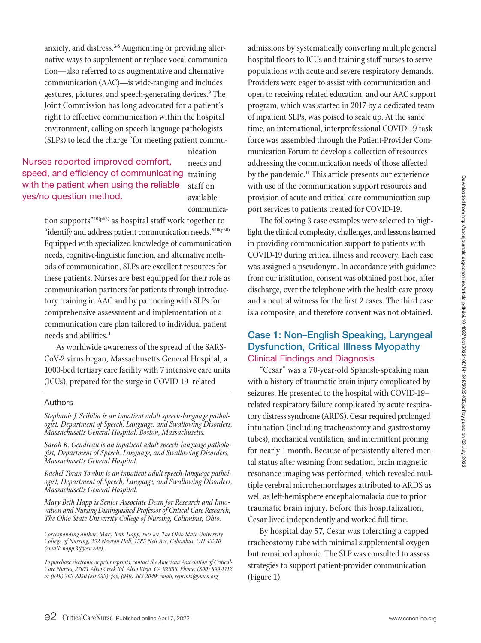anxiety, and distress.<sup>3-8</sup> Augmenting or providing alternative ways to supplement or replace vocal communication—also referred to as augmentative and alternative communication (AAC)—is wide-ranging and includes gestures, pictures, and speech-generating devices.<sup>9</sup> The Joint Commission has long advocated for a patient's right to effective communication within the hospital environment, calling on speech-language pathologists (SLPs) to lead the charge "for meeting patient commu-

speed, and efficiency of communicating training Nurses reported improved comfort, with the patient when using the reliable yes/no question method.

nication needs and staff on available communica-

tion supports<sup>"10(p63)</sup> as hospital staff work together to "identify and address patient communication needs."10(p50) Equipped with specialized knowledge of communication needs, cognitive-linguistic function, and alternative methods of communication, SLPs are excellent resources for these patients. Nurses are best equipped for their role as communication partners for patients through introductory training in AAC and by partnering with SLPs for comprehensive assessment and implementation of a communication care plan tailored to individual patient needs and abilities.4

As worldwide awareness of the spread of the SARS-CoV-2 virus began, Massachusetts General Hospital, a 1000-bed tertiary care facility with 7 intensive care units (ICUs), prepared for the surge in COVID-19–related

#### Authors

*Stephanie J. Scibilia is an inpatient adult speech-language pathologist, Department of Speech, Language, and Swallowing Disorders, Massachusetts General Hospital, Boston, Massachusetts.*

*Sarah K. Gendreau is an inpatient adult speech-language pathologist, Department of Speech, Language, and Swallowing Disorders, Massachusetts General Hospital.*

*Rachel Toran Towbin is an inpatient adult speech-language pathologist, Department of Speech, Language, and Swallowing Disorders, Massachusetts General Hospital.*

*Mary Beth Happ is Senior Associate Dean for Research and Innovation and Nursing Distinguished Professor of Critical Care Research, The Ohio State University College of Nursing, Columbus, Ohio.*

*Corresponding author: Mary Beth Happ, PhD, RN, The Ohio State University College of Nursing, 352 Newton Hall, 1585 Neil Ave, Columbus, OH 43210 (email: happ.3@osu.edu).* 

*To purchase electronic or print reprints, contact the American Association of Critical-Care Nurses, 27071 Aliso Creek Rd, Aliso Viejo, CA 92656. Phone, (800) 899-1712 or (949) 362-2050 (ext 532); fax, (949) 362-2049; email, reprints@aacn.org.*

admissions by systematically converting multiple general hospital floors to ICUs and training staff nurses to serve populations with acute and severe respiratory demands. Providers were eager to assist with communication and open to receiving related education, and our AAC support program, which was started in 2017 by a dedicated team of inpatient SLPs, was poised to scale up. At the same time, an international, interprofessional COVID-19 task force was assembled through the Patient-Provider Communication Forum to develop a collection of resources addressing the communication needs of those affected by the pandemic.<sup>11</sup> This article presents our experience with use of the communication support resources and provision of acute and critical care communication support services to patients treated for COVID-19.

The following 3 case examples were selected to highlight the clinical complexity, challenges, and lessons learned in providing communication support to patients with COVID-19 during critical illness and recovery. Each case was assigned a pseudonym. In accordance with guidance from our institution, consent was obtained post hoc, after discharge, over the telephone with the health care proxy and a neutral witness for the first 2 cases. The third case is a composite, and therefore consent was not obtained.

## Case 1: Non–English Speaking, Laryngeal Dysfunction, Critical Illness Myopathy Clinical Findings and Diagnosis

"Cesar" was a 70-year-old Spanish-speaking man with a history of traumatic brain injury complicated by seizures. He presented to the hospital with COVID-19– related respiratory failure complicated by acute respiratory distress syndrome (ARDS). Cesar required prolonged intubation (including tracheostomy and gastrostomy tubes), mechanical ventilation, and intermittent proning for nearly 1 month. Because of persistently altered mental status after weaning from sedation, brain magnetic resonance imaging was performed, which revealed multiple cerebral microhemorrhages attributed to ARDS as well as left-hemisphere encephalomalacia due to prior traumatic brain injury. Before this hospitalization, Cesar lived independently and worked full time.

By hospital day 57, Cesar was tolerating a capped tracheostomy tube with minimal supplemental oxygen but remained aphonic. The SLP was consulted to assess strategies to support patient-provider communication (Figure 1).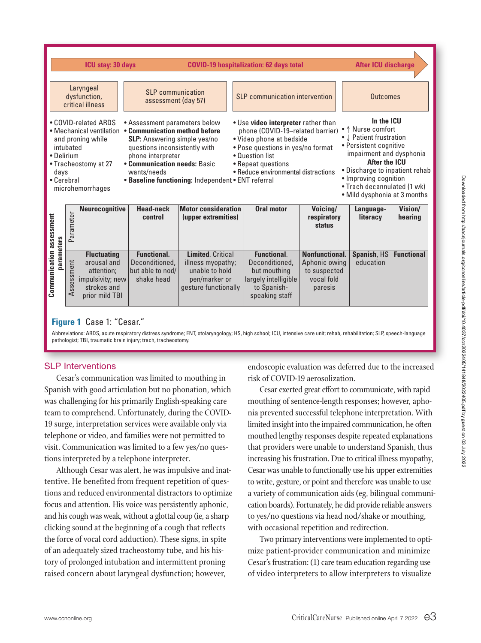

#### **Figure 1** Case 1: "Cesar."

Abbreviations: ARDS, acute respiratory distress syndrome; ENT, otolaryngology; HS, high school; ICU, intensive care unit; rehab, rehabilitation; SLP, speech-language pathologist; TBI, traumatic brain injury; trach, tracheostomy.

#### SLP Interventions

Cesar's communication was limited to mouthing in Spanish with good articulation but no phonation, which was challenging for his primarily English-speaking care team to comprehend. Unfortunately, during the COVID-19 surge, interpretation services were available only via telephone or video, and families were not permitted to visit. Communication was limited to a few yes/no questions interpreted by a telephone interpreter.

Although Cesar was alert, he was impulsive and inattentive. He benefited from frequent repetition of questions and reduced environmental distractors to optimize focus and attention. His voice was persistently aphonic, and his cough was weak, without a glottal coup (ie, a sharp clicking sound at the beginning of a cough that reflects the force of vocal cord adduction). These signs, in spite of an adequately sized tracheostomy tube, and his history of prolonged intubation and intermittent proning raised concern about laryngeal dysfunction; however,

endoscopic evaluation was deferred due to the increased risk of COVID-19 aerosolization.

Cesar exerted great effort to communicate, with rapid mouthing of sentence-length responses; however, aphonia prevented successful telephone interpretation. With limited insight into the impaired communication, he often mouthed lengthy responses despite repeated explanations that providers were unable to understand Spanish, thus increasing his frustration. Due to critical illness myopathy, Cesar was unable to functionally use his upper extremities to write, gesture, or point and therefore was unable to use a variety of communication aids (eg, bilingual communication boards). Fortunately, he did provide reliable answers to yes/no questions via head nod/shake or mouthing, with occasional repetition and redirection.

Two primary interventions were implemented to optimize patient-provider communication and minimize Cesar's frustration: (1) care team education regarding use of video interpreters to allow interpreters to visualize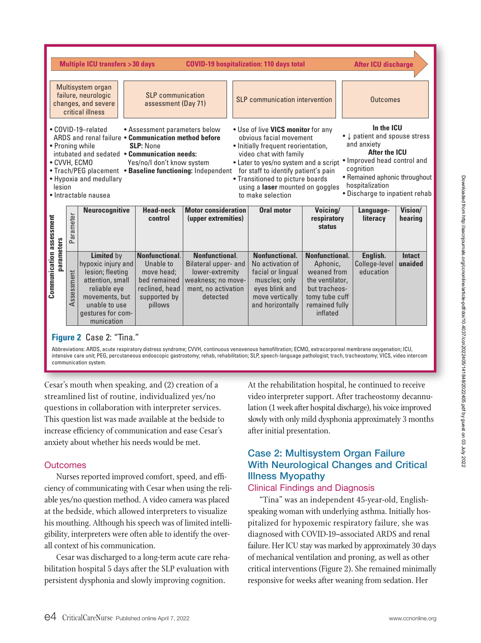

Abbreviations: ARDS, acute respiratory distress syndrome; CVVH, continuous venovenous hemofiltration; ECMO, extracorporeal membrane oxygenation; ICU, intensive care unit; PEG, percutaneous endoscopic gastrostomy; rehab, rehabilitation; SLP, speech-language pathologist; trach, tracheostomy; VICS, video intercom communication system.

Cesar's mouth when speaking, and (2) creation of a streamlined list of routine, individualized yes/no questions in collaboration with interpreter services. This question list was made available at the bedside to increase efficiency of communication and ease Cesar's anxiety about whether his needs would be met.

#### **Outcomes**

Nurses reported improved comfort, speed, and efficiency of communicating with Cesar when using the reliable yes/no question method. A video camera was placed at the bedside, which allowed interpreters to visualize his mouthing. Although his speech was of limited intelligibility, interpreters were often able to identify the overall context of his communication.

Cesar was discharged to a long-term acute care rehabilitation hospital 5 days after the SLP evaluation with persistent dysphonia and slowly improving cognition.

At the rehabilitation hospital, he continued to receive video interpreter support. After tracheostomy decannulation (1 week after hospital discharge), his voice improved slowly with only mild dysphonia approximately 3 months after initial presentation.

# Case 2: Multisystem Organ Failure With Neurological Changes and Critical Illness Myopathy

# Clinical Findings and Diagnosis

"Tina" was an independent 45-year-old, Englishspeaking woman with underlying asthma. Initially hospitalized for hypoxemic respiratory failure, she was diagnosed with COVID-19–associated ARDS and renal failure. Her ICU stay was marked by approximately 30 days of mechanical ventilation and proning, as well as other critical interventions (Figure 2). She remained minimally responsive for weeks after weaning from sedation. Her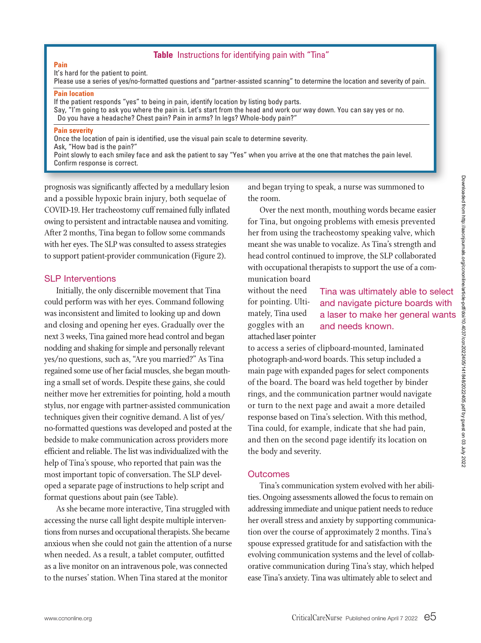# **Table** Instructions for identifying pain with "Tina"

**Pain** It's hard for the patient to point.

Please use a series of yes/no-formatted questions and "partner-assisted scanning" to determine the location and severity of pain.

#### **Pain location**

If the patient responds "yes" to being in pain, identify location by listing body parts.

Say, "I'm going to ask you where the pain is. Let's start from the head and work our way down. You can say yes or no. Do you have a headache? Chest pain? Pain in arms? In legs? Whole-body pain?"

#### **Pain severity**

Once the location of pain is identified, use the visual pain scale to determine severity.

Ask, "How bad is the pain?"

Point slowly to each smiley face and ask the patient to say "Yes" when you arrive at the one that matches the pain level. Confirm response is correct.

prognosis was significantly affected by a medullary lesion and a possible hypoxic brain injury, both sequelae of COVID-19. Her tracheostomy cuff remained fully inflated owing to persistent and intractable nausea and vomiting. After 2 months, Tina began to follow some commands with her eyes. The SLP was consulted to assess strategies to support patient-provider communication (Figure 2).

### SLP Interventions

Initially, the only discernible movement that Tina could perform was with her eyes. Command following was inconsistent and limited to looking up and down and closing and opening her eyes. Gradually over the next 3 weeks, Tina gained more head control and began nodding and shaking for simple and personally relevant yes/no questions, such as, "Are you married?" As Tina regained some use of her facial muscles, she began mouthing a small set of words. Despite these gains, she could neither move her extremities for pointing, hold a mouth stylus, nor engage with partner-assisted communication techniques given their cognitive demand. A list of yes/ no-formatted questions was developed and posted at the bedside to make communication across providers more efficient and reliable. The list was individualized with the help of Tina's spouse, who reported that pain was the most important topic of conversation. The SLP developed a separate page of instructions to help script and format questions about pain (see Table).

As she became more interactive, Tina struggled with accessing the nurse call light despite multiple interventions from nurses and occupational therapists. She became anxious when she could not gain the attention of a nurse when needed. As a result, a tablet computer, outfitted as a live monitor on an intravenous pole, was connected to the nurses' station. When Tina stared at the monitor

and began trying to speak, a nurse was summoned to the room.

Over the next month, mouthing words became easier for Tina, but ongoing problems with emesis prevented her from using the tracheostomy speaking valve, which meant she was unable to vocalize. As Tina's strength and head control continued to improve, the SLP collaborated with occupational therapists to support the use of a communication board

without the need for pointing. Ultimately, Tina used goggles with an attached laser pointer

Tina was ultimately able to select and navigate picture boards with a laser to make her general wants and needs known.

to access a series of clipboard-mounted, laminated photograph-and-word boards. This setup included a main page with expanded pages for select components of the board. The board was held together by binder rings, and the communication partner would navigate or turn to the next page and await a more detailed response based on Tina's selection. With this method, Tina could, for example, indicate that she had pain, and then on the second page identify its location on the body and severity.

#### **Outcomes**

Tina's communication system evolved with her abilities. Ongoing assessments allowed the focus to remain on addressing immediate and unique patient needs to reduce her overall stress and anxiety by supporting communication over the course of approximately 2 months. Tina's spouse expressed gratitude for and satisfaction with the evolving communication systems and the level of collaborative communication during Tina's stay, which helped ease Tina's anxiety. Tina was ultimately able to select and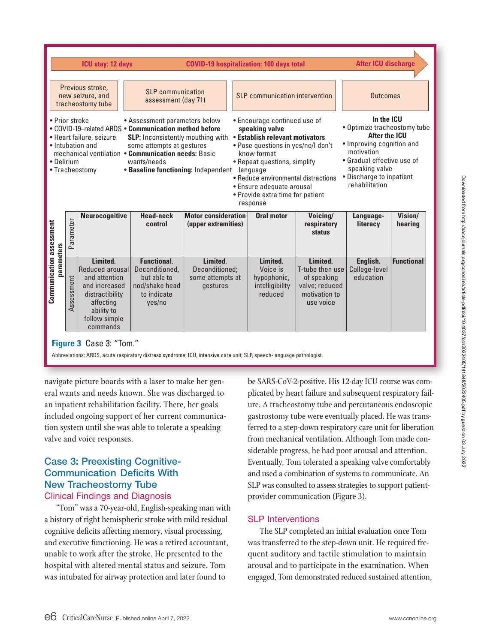

Abbreviations: ARDS, acute respiratory distress syndrome; ICU, intensive care unit; SLP, speech-language pathologist.

navigate picture boards with a laser to make her general wants and needs known. She was discharged to an inpatient rehabilitation facility. There, her goals included ongoing support of her current communication system until she was able to tolerate a speaking valve and voice responses.

# Case 3: Preexisting Cognitive-Communication Deficits With New Tracheostomy Tube

## Clinical Findings and Diagnosis

"Tom" was a 70-year-old, English-speaking man with a history of right hemispheric stroke with mild residual cognitive deficits affecting memory, visual processing, and executive functioning. He was a retired accountant, unable to work after the stroke. He presented to the hospital with altered mental status and seizure. Tom was intubated for airway protection and later found to

be SARS-CoV-2-positive. His 12-day ICU course was complicated by heart failure and subsequent respiratory failure. A tracheostomy tube and percutaneous endoscopic gastrostomy tube were eventually placed. He was transferred to a step-down respiratory care unit for liberation from mechanical ventilation. Although Tom made considerable progress, he had poor arousal and attention. Eventually, Tom tolerated a speaking valve comfortably and used a combination of systems to communicate. An SLP was consulted to assess strategies to support patientprovider communication (Figure 3).

## SLP Interventions

The SLP completed an initial evaluation once Tom was transferred to the step-down unit. He required frequent auditory and tactile stimulation to maintain arousal and to participate in the examination. When engaged, Tom demonstrated reduced sustained attention,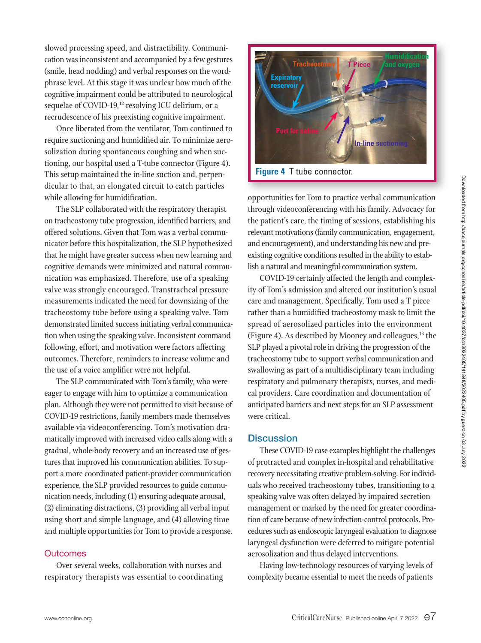slowed processing speed, and distractibility. Communication was inconsistent and accompanied by a few gestures (smile, head nodding) and verbal responses on the wordphrase level. At this stage it was unclear how much of the cognitive impairment could be attributed to neurological sequelae of COVID-19, 12 resolving ICU delirium, or a recrudescence of his preexisting cognitive impairment.

Once liberated from the ventilator, Tom continued to require suctioning and humidified air. To minimize aerosolization during spontaneous coughing and when suctioning, our hospital used a T-tube connector (Figure 4). This setup maintained the in-line suction and, perpendicular to that, an elongated circuit to catch particles while allowing for humidification.

The SLP collaborated with the respiratory therapist on tracheostomy tube progression, identified barriers, and offered solutions. Given that Tom was a verbal communicator before this hospitalization, the SLP hypothesized that he might have greater success when new learning and cognitive demands were minimized and natural communication was emphasized. Therefore, use of a speaking valve was strongly encouraged. Transtracheal pressure measurements indicated the need for downsizing of the tracheostomy tube before using a speaking valve. Tom demonstrated limited success initiating verbal communication when using the speaking valve. Inconsistent command following, effort, and motivation were factors affecting outcomes. Therefore, reminders to increase volume and the use of a voice amplifier were not helpful.

The SLP communicated with Tom's family, who were eager to engage with him to optimize a communication plan. Although they were not permitted to visit because of COVID-19 restrictions, family members made themselves available via videoconferencing. Tom's motivation dramatically improved with increased video calls along with a gradual, whole-body recovery and an increased use of gestures that improved his communication abilities. To support a more coordinated patient-provider communication experience, the SLP provided resources to guide communication needs, including (1) ensuring adequate arousal, (2) eliminating distractions, (3) providing all verbal input using short and simple language, and (4) allowing time and multiple opportunities for Tom to provide a response.

#### **Outcomes**

Over several weeks, collaboration with nurses and respiratory therapists was essential to coordinating



opportunities for Tom to practice verbal communication through videoconferencing with his family. Advocacy for the patient's care, the timing of sessions, establishing his relevant motivations (family communication, engagement, and encouragement), and understanding his new and preexisting cognitive conditions resulted in the ability to establish a natural and meaningful communication system.

COVID-19 certainly affected the length and complexity of Tom's admission and altered our institution's usual care and management. Specifically, Tom used a T piece rather than a humidified tracheostomy mask to limit the spread of aerosolized particles into the environment (Figure 4). As described by Mooney and colleagues, $13$  the SLP played a pivotal role in driving the progression of the tracheostomy tube to support verbal communication and swallowing as part of a multidisciplinary team including respiratory and pulmonary therapists, nurses, and medical providers. Care coordination and documentation of anticipated barriers and next steps for an SLP assessment were critical.

#### **Discussion**

These COVID-19 case examples highlight the challenges of protracted and complex in-hospital and rehabilitative recovery necessitating creative problem-solving. For individuals who received tracheostomy tubes, transitioning to a speaking valve was often delayed by impaired secretion management or marked by the need for greater coordination of care because of new infection-control protocols. Procedures such as endoscopic laryngeal evaluation to diagnose laryngeal dysfunction were deferred to mitigate potential aerosolization and thus delayed interventions.

Having low-technology resources of varying levels of complexity became essential to meet the needs of patients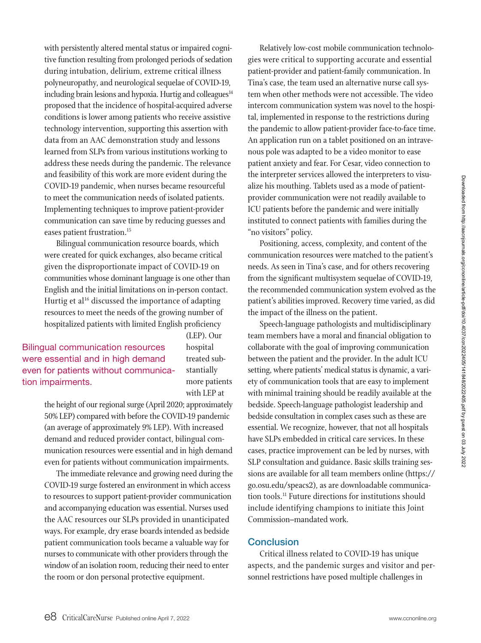Downloaded from http://aacnipurnals.org/ccnonline/article-pdf/doi/10.4037/ccn2022405/141848/2022405.pdf by guest on 03 July 2022 Downloaded from http://aacnjournals.org/ccnonline/article-pdf/doi/10.4037/ccn2022405/141848/2022405.pdf by guest on 03 July 2022

with persistently altered mental status or impaired cognitive function resulting from prolonged periods of sedation during intubation, delirium, extreme critical illness polyneuropathy, and neurological sequelae of COVID-19, including brain lesions and hypoxia. Hurtig and colleagues<sup>14</sup> proposed that the incidence of hospital-acquired adverse conditions is lower among patients who receive assistive technology intervention, supporting this assertion with data from an AAC demonstration study and lessons learned from SLPs from various institutions working to address these needs during the pandemic. The relevance and feasibility of this work are more evident during the COVID-19 pandemic, when nurses became resourceful to meet the communication needs of isolated patients. Implementing techniques to improve patient-provider communication can save time by reducing guesses and eases patient frustration.<sup>15</sup>

Bilingual communication resource boards, which were created for quick exchanges, also became critical given the disproportionate impact of COVID-19 on communities whose dominant language is one other than English and the initial limitations on in-person contact. Hurtig et al<sup>16</sup> discussed the importance of adapting resources to meet the needs of the growing number of hospitalized patients with limited English proficiency

Bilingual communication resources were essential and in high demand even for patients without communication impairments.

(LEP). Our hospital treated substantially more patients with LEP at

the height of our regional surge (April 2020; approximately 50% LEP) compared with before the COVID-19 pandemic (an average of approximately 9% LEP). With increased demand and reduced provider contact, bilingual communication resources were essential and in high demand even for patients without communication impairments.

The immediate relevance and growing need during the COVID-19 surge fostered an environment in which access to resources to support patient-provider communication and accompanying education was essential. Nurses used the AAC resources our SLPs provided in unanticipated ways. For example, dry erase boards intended as bedside patient communication tools became a valuable way for nurses to communicate with other providers through the window of an isolation room, reducing their need to enter the room or don personal protective equipment.

Relatively low-cost mobile communication technologies were critical to supporting accurate and essential patient-provider and patient-family communication. In Tina's case, the team used an alternative nurse call system when other methods were not accessible. The video intercom communication system was novel to the hospital, implemented in response to the restrictions during the pandemic to allow patient-provider face-to-face time. An application run on a tablet positioned on an intravenous pole was adapted to be a video monitor to ease patient anxiety and fear. For Cesar, video connection to the interpreter services allowed the interpreters to visualize his mouthing. Tablets used as a mode of patientprovider communication were not readily available to ICU patients before the pandemic and were initially instituted to connect patients with families during the "no visitors" policy.

Positioning, access, complexity, and content of the communication resources were matched to the patient's needs. As seen in Tina's case, and for others recovering from the significant multisystem sequelae of COVID-19, the recommended communication system evolved as the patient's abilities improved. Recovery time varied, as did the impact of the illness on the patient.

Speech-language pathologists and multidisciplinary team members have a moral and financial obligation to collaborate with the goal of improving communication between the patient and the provider. In the adult ICU setting, where patients' medical status is dynamic, a variety of communication tools that are easy to implement with minimal training should be readily available at the bedside. Speech-language pathologist leadership and bedside consultation in complex cases such as these are essential. We recognize, however, that not all hospitals have SLPs embedded in critical care services. In these cases, practice improvement can be led by nurses, with SLP consultation and guidance. Basic skills training sessions are available for all team members online (https:// go.osu.edu/speacs2), as are downloadable communication tools.11 Future directions for institutions should include identifying champions to initiate this Joint Commission–mandated work.

# Conclusion

Critical illness related to COVID-19 has unique aspects, and the pandemic surges and visitor and personnel restrictions have posed multiple challenges in